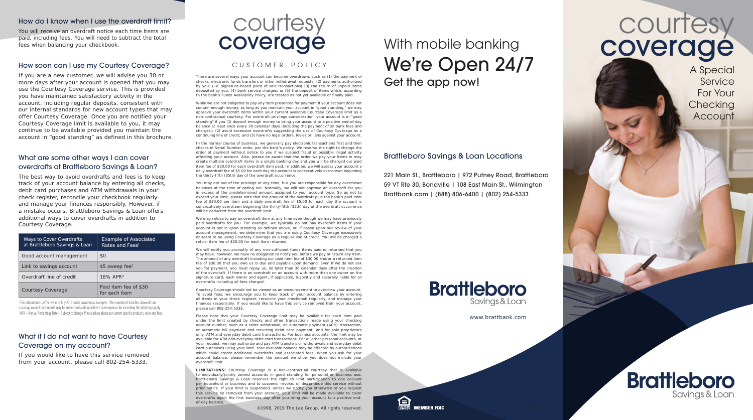#### How do I know when I use the overdraft limit?

You will receive an overdraft notice each time items are paid, including fees. You will need to subtract the total fees when balancing your checkbook.

#### How soon can I use my Courtesy Coverage?

If you are a new customer, we will advise you 30 or more days after your account is opened that you may use the Courtesy Coverage service. This is provided you have maintained satisfactory activity in the account, including regular deposits, consistent with our internal standards for new account types that may offer Courtesy Coverage. Once you are notified your Courtesy Coverage limit is available to you, it may continue to be available provided you maintain the account in "good standing" as defined in this brochure.

# What are some other ways I can cover overdrafts at Brattleboro Savings & Loan?

The best way to avoid overdrafts and fees is to keep track of your account balance by entering all checks, debit card purchases and ATM withdrawals in your check register, reconcile your checkbook regularly and manage your finances responsibly. However, if a mistake occurs, Brattleboro Savings & Loan offers additional ways to cover overdrafts in addition to Courtesy Coverage.

| Ways to Cover Overdrafts<br>at Brattleboro Savings & Loan | <b>Example of Associated</b><br>Rates and Fees <sup>1</sup> |
|-----------------------------------------------------------|-------------------------------------------------------------|
| Good account management                                   | \$0                                                         |
| Link to savings account                                   | $$5$ sweep fee <sup>2</sup>                                 |
| Overdraft line of credit                                  | 18% APR <sup>3</sup>                                        |
| Courtesy Coverage                                         | Paid item fee of \$30<br>for each item                      |

<sup>1</sup> This information is effective as of July 2019 and is provided as examples. <sup>2</sup> The number of transfers allowed from a savings account each month may be limited and additional fees / consequences for exceeding this limit may apply. <sup>3</sup> APR - Annual Percentage Rate - Subject to change. Please ask us about our current specific products, rates and fees.

# What if I do not want to have Courtesy Coverage on my account?

If you would like to have this service removed from your account, please call 802-254-5333.



# CUSTOMER POLICY

There are several ways your account can become overdrawn, such as (1) the payment of checks, electronic funds transfers or other withdrawal requests; (2) payments authorized by you; (i.e. signature-based point of sale transactions) (3) the return of unpaid items deposited by you; (4) bank service charges; or (5) the deposit of items which, according to the bank's Funds Availability Policy, are treated as not yet available or finally paid.

While we are not obligated to pay any item presented for payment if your account does not contain enough money, as long as you maintain your account in "good standing," we may approve your overdraft items within your current available Courtesy Coverage limit as a non-contractual courtesy. For overdraft privilege consideration, your account is in "good standing" if you (1) deposit enough money to bring your account to a positive end-of-day balance at least once every 30 calendar days (including the payment of all bank fees and charges); (2) avoid excessive overdrafts suggesting the use of Courtesy Coverage as a continuing line of credit; and (3) have no legal orders, levies or liens against your account.

In the normal course of business, we generally pay electronic transactions first and then checks in Serial Number order, per the bank's policy. We reserve the right to change the order of payment without notice to you if we suspect fraud or possible illegal activity affecting your account. Also, please be aware that the order we pay your items in may create multiple overdraft items in a single banking day and you will be charged our paid item fee of \$30.00 for each overdraft item paid. In addition, we will assess your account a daily overdraft fee of \$5.00 for each day the account is consecutively overdrawn beginning the thirty-fifth (35th) day of the overdraft occurrence.

You may opt out of the privilege at any time, but you are responsible for any overdrawn balances at the time of opting out. Normally, we will not approve an overdraft for you in excess of the predetermined amount assigned to your account type. So as not to exceed your limit, please note that the amount of the overdraft plus the bank's paid item fee of \$30.00 per item and a daily overdraft fee of \$5.00 for each day the account is consecutively overdrawn beginning the thirty-fifth (35th) day of the overdraft occurrence will be deducted from the overdraft limit.

We may refuse to pay an overdraft item at any time even though we may have previously paid overdrafts for you. For example, we typically do not pay overdraft items if your account is not in good standing as defined above, or, if based upon our review of your account management, we determine that you are using Courtesy Coverage excessively or seem to be using Courtesy Coverage as a regular line of credit. You will be charged a return item fee of \$30.00 for each item returned.

We will notify you promptly of any non-sufficient funds items paid or returned that you may have; however, we have no obligation to notify you before we pay or return any item. The amount of any overdraft including our paid item fee of \$30.00 and/or a returned item fee of \$30.00 that you owe us is due and payable upon demand. Even if we do not ask you for payment, you must repay us, no later than 30 calendar days after the creation of the overdraft. If there is an overdraft on an account with more than one owner on the signature card, each owner and agent, if applicable, is jointly and severally liable for all overdrafts including all fees charged.

Courtesy Coverage should not be viewed as an encouragement to overdraw your account. To avoid fees, we encourage you to keep track of your account balance by entering all items in your check register, reconcile your checkbook regularly, and manage your finances responsibly. If you would like to have this service removed from your account, please call 802-254-5333.

Please note that your Courtesy Coverage limit may be available for each item paid under the limit created by checks and other transactions made using your checking account number, such as a teller withdrawal, an automatic payment (ACH) transaction, or automatic bill payment and recurring debit card payment; and for sole proprietors only, ATM and everyday debit card transactions. For business accounts, the limit may be available for ATM and everyday debit card transactions. For all other personal accounts, at your request, we may authorize and pay ATM transfers or withdrawals and everyday debit card purchases using your limit. Your available balance may be affected by authorizations which could create additional overdrafts and associated fees. When you ask for your account balance, please remember the amount we show you does not include your overdraft limit.

**LIMITATIONS:** Courtesy Coverage is a non-contractual courtesy that is available to individually/jointly owned accounts in good standing for personal or business use. Brattleboro Savings & Loan reserves the right to limit participation to one account per household or business and to suspend, revoke, or discontinue this service without prior notice. If your limit is suspended, unless we notify you otherwise or you request this service be removed from your account, your limit will be made available to cover overdrafts again the first business day after you bring your account to a positive endof-day balance.

©1998, 2019 The Lee Group. All rights reserved.

# With mobile banking We're Open 24/7 Get the app now!

# Brattleboro Savings & Loan Locations

221 Main St., Brattleboro | 972 Putney Road, Brattleboro 59 VT Rte 30, Bondville | 108 East Main St., Wilmington Brattbank.com | (888) 806-6400 | (802) 254-5333



www.brattbank.com



courtesy<br> **courtesy**<br> **coverage** With mobile banking<br> **COVETADE** coverage

> A Special Service For Your **Checking Account**